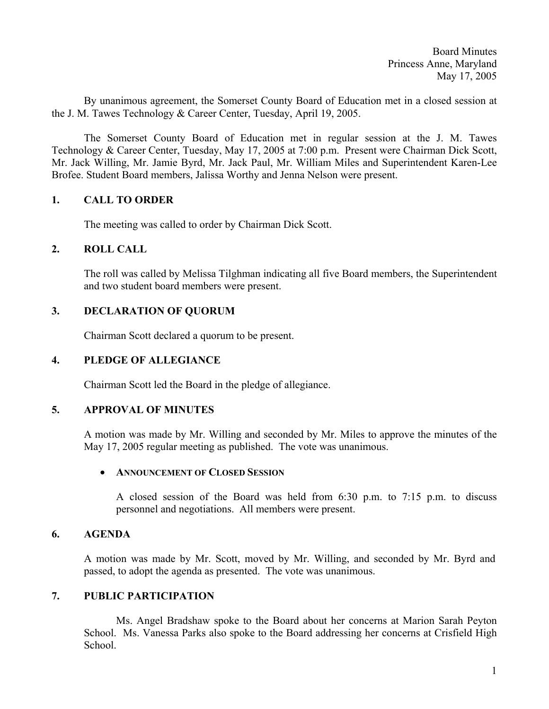Board Minutes Princess Anne, Maryland May 17, 2005

By unanimous agreement, the Somerset County Board of Education met in a closed session at the J. M. Tawes Technology & Career Center, Tuesday, April 19, 2005.

 The Somerset County Board of Education met in regular session at the J. M. Tawes Technology & Career Center, Tuesday, May 17, 2005 at 7:00 p.m. Present were Chairman Dick Scott, Mr. Jack Willing, Mr. Jamie Byrd, Mr. Jack Paul, Mr. William Miles and Superintendent Karen-Lee Brofee. Student Board members, Jalissa Worthy and Jenna Nelson were present.

# **1. CALL TO ORDER**

The meeting was called to order by Chairman Dick Scott.

# **2. ROLL CALL**

The roll was called by Melissa Tilghman indicating all five Board members, the Superintendent and two student board members were present.

# **3. DECLARATION OF QUORUM**

Chairman Scott declared a quorum to be present.

# **4. PLEDGE OF ALLEGIANCE**

Chairman Scott led the Board in the pledge of allegiance.

## **5. APPROVAL OF MINUTES**

A motion was made by Mr. Willing and seconded by Mr. Miles to approve the minutes of the May 17, 2005 regular meeting as published. The vote was unanimous.

## • **ANNOUNCEMENT OF CLOSED SESSION**

 A closed session of the Board was held from 6:30 p.m. to 7:15 p.m. to discuss personnel and negotiations. All members were present.

# **6. AGENDA**

A motion was made by Mr. Scott, moved by Mr. Willing, and seconded by Mr. Byrd and passed, to adopt the agenda as presented. The vote was unanimous.

## **7. PUBLIC PARTICIPATION**

 Ms. Angel Bradshaw spoke to the Board about her concerns at Marion Sarah Peyton School. Ms. Vanessa Parks also spoke to the Board addressing her concerns at Crisfield High School.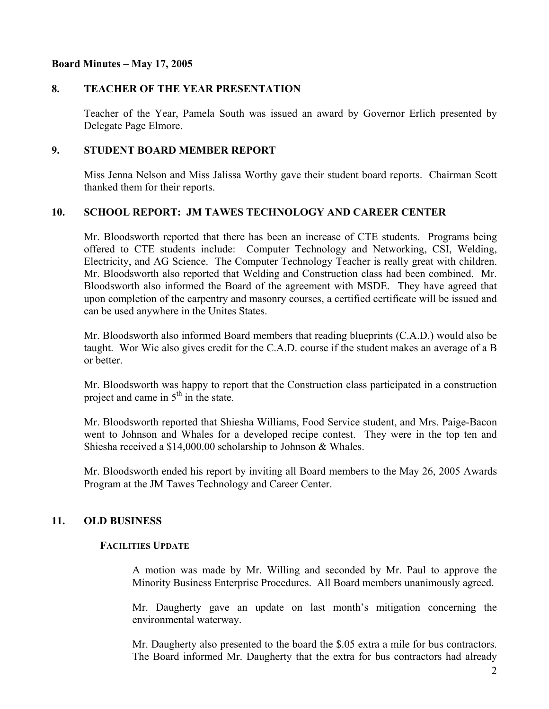### **Board Minutes – May 17, 2005**

## **8. TEACHER OF THE YEAR PRESENTATION**

Teacher of the Year, Pamela South was issued an award by Governor Erlich presented by Delegate Page Elmore.

## **9. STUDENT BOARD MEMBER REPORT**

Miss Jenna Nelson and Miss Jalissa Worthy gave their student board reports. Chairman Scott thanked them for their reports.

## **10. SCHOOL REPORT: JM TAWES TECHNOLOGY AND CAREER CENTER**

Mr. Bloodsworth reported that there has been an increase of CTE students. Programs being offered to CTE students include: Computer Technology and Networking, CSI, Welding, Electricity, and AG Science. The Computer Technology Teacher is really great with children. Mr. Bloodsworth also reported that Welding and Construction class had been combined. Mr. Bloodsworth also informed the Board of the agreement with MSDE. They have agreed that upon completion of the carpentry and masonry courses, a certified certificate will be issued and can be used anywhere in the Unites States.

Mr. Bloodsworth also informed Board members that reading blueprints (C.A.D.) would also be taught. Wor Wic also gives credit for the C.A.D. course if the student makes an average of a B or better.

Mr. Bloodsworth was happy to report that the Construction class participated in a construction project and came in  $5<sup>th</sup>$  in the state.

Mr. Bloodsworth reported that Shiesha Williams, Food Service student, and Mrs. Paige-Bacon went to Johnson and Whales for a developed recipe contest. They were in the top ten and Shiesha received a \$14,000.00 scholarship to Johnson & Whales.

Mr. Bloodsworth ended his report by inviting all Board members to the May 26, 2005 Awards Program at the JM Tawes Technology and Career Center.

## **11. OLD BUSINESS**

## **FACILITIES UPDATE**

A motion was made by Mr. Willing and seconded by Mr. Paul to approve the Minority Business Enterprise Procedures. All Board members unanimously agreed.

 Mr. Daugherty gave an update on last month's mitigation concerning the environmental waterway.

 Mr. Daugherty also presented to the board the \$.05 extra a mile for bus contractors. The Board informed Mr. Daugherty that the extra for bus contractors had already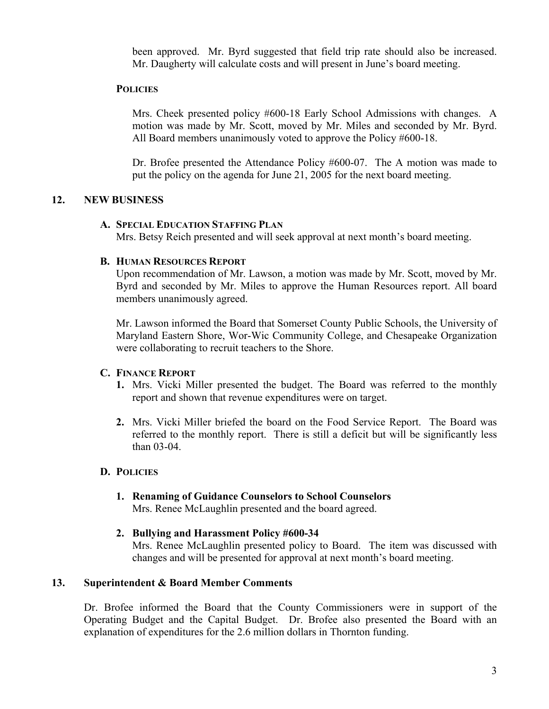been approved. Mr. Byrd suggested that field trip rate should also be increased. Mr. Daugherty will calculate costs and will present in June's board meeting.

# **POLICIES**

 Mrs. Cheek presented policy #600-18 Early School Admissions with changes. A motion was made by Mr. Scott, moved by Mr. Miles and seconded by Mr. Byrd. All Board members unanimously voted to approve the Policy #600-18.

 Dr. Brofee presented the Attendance Policy #600-07. The A motion was made to put the policy on the agenda for June 21, 2005 for the next board meeting.

## **12. NEW BUSINESS**

#### **A. SPECIAL EDUCATION STAFFING PLAN**

Mrs. Betsy Reich presented and will seek approval at next month's board meeting.

#### **B. HUMAN RESOURCES REPORT**

Upon recommendation of Mr. Lawson, a motion was made by Mr. Scott, moved by Mr. Byrd and seconded by Mr. Miles to approve the Human Resources report. All board members unanimously agreed.

Mr. Lawson informed the Board that Somerset County Public Schools, the University of Maryland Eastern Shore, Wor-Wic Community College, and Chesapeake Organization were collaborating to recruit teachers to the Shore.

#### **C. FINANCE REPORT**

- **1.** Mrs. Vicki Miller presented the budget. The Board was referred to the monthly report and shown that revenue expenditures were on target.
- **2.** Mrs. Vicki Miller briefed the board on the Food Service Report. The Board was referred to the monthly report. There is still a deficit but will be significantly less than 03-04.

#### **D. POLICIES**

- **1. Renaming of Guidance Counselors to School Counselors** Mrs. Renee McLaughlin presented and the board agreed.
- **2. Bullying and Harassment Policy #600-34**

Mrs. Renee McLaughlin presented policy to Board. The item was discussed with changes and will be presented for approval at next month's board meeting.

## **13. Superintendent & Board Member Comments**

Dr. Brofee informed the Board that the County Commissioners were in support of the Operating Budget and the Capital Budget. Dr. Brofee also presented the Board with an explanation of expenditures for the 2.6 million dollars in Thornton funding.